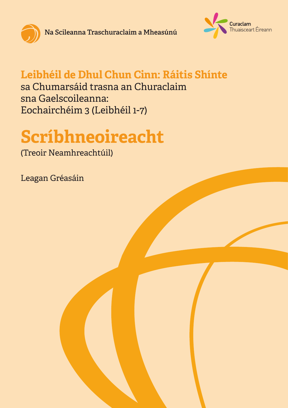

**Na Scileanna Traschuraclaim a Mheasúnú**



### **Leibhéil de Dhul Chun Cinn: Ráitis Shínte**

sa Chumarsáid trasna an Churaclaim sna Gaelscoileanna: Eochairchéim 3 (Leibhéil 1-7)

# **Scríbhneoireacht**

(Treoir Neamhreachtúil)

Leagan Gréasáin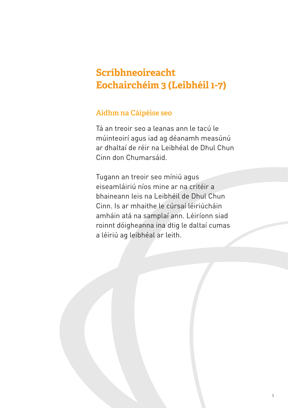#### **Scríbhneoireacht Eochairchéim 3 (Leibhéil 1-7)**

#### **Aidhm na Cáipéise seo**

Tá an treoir seo a leanas ann le tacú le múinteoirí agus iad ag déanamh measúnú ar dhaltaí de réir na Leibhéal de Dhul Chun Cinn don Chumarsáid.

Tugann an treoir seo míniú agus eiseamláiriú níos mine ar na critéir a bhaineann leis na Leibhéil de Dhul Chun Cinn. Is ar mhaithe le cúrsaí léiriúcháin amháin atá na samplaí ann. Léiríonn siad roinnt dóigheanna ina dtig le daltaí cumas a léiriú ag leibhéal ar leith.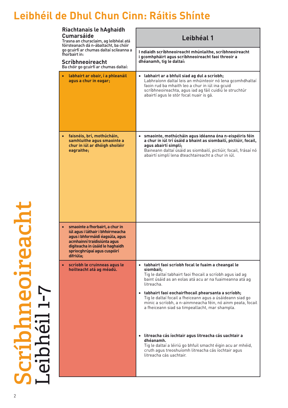| Riachtanais le hAghaidh<br><b>Cumarsáide</b>                                                                                                                                                                                       | Leibhéal 1                                                                                                                                                                                                                                                                    |
|------------------------------------------------------------------------------------------------------------------------------------------------------------------------------------------------------------------------------------|-------------------------------------------------------------------------------------------------------------------------------------------------------------------------------------------------------------------------------------------------------------------------------|
| Trasna an churaclaim, ag leibhéal atá<br>fóirsteanach dá n-ábaltacht, ba chóir<br>go gcuirfí ar chumas daltaí scileanna a<br>fhorbairt in:<br>Scríbhneoireacht<br>Ba chóir go gcuirfí ar chumas daltaí:                            | I ndiaidh scríbhneoireacht mhúnlaithe, scríbhneoireacht<br>i gcomhpháirt agus scríbhneoireacht faoi threoir a<br>dhéanamh, tig le daltaí:                                                                                                                                     |
| · labhairt ar obair, í a phleanáil<br>agus a chur in eagar;                                                                                                                                                                        | · labhairt ar a bhfuil siad ag dul a scríobh;<br>Labhraíonn daltaí leis an mhúinteoir nó lena gcomhdhaltaí<br>faoin rud ba mhaith leo a chur in iúl ina gcuid<br>scríbhneoireachta, agus iad ag fáil cuidiú le struchtúr<br>abairtí agus le stór focal nuair is gá.           |
| faisnéis, brí, mothúcháin,<br>$\bullet$<br>samhluithe agus smaointe a<br>chur in iúl ar dhóigh shoiléir<br>eagraithe;                                                                                                              | · smaointe, mothúcháin agus idéanna óna n-eispéiris féin<br>a chur in iúl trí úsáid a bhaint as siombailí, pictiúir, focail,<br>agus abairtí simplí;<br>Baineann daltaí úsáid as siombailí, pictiúir, focail, frásaí nó<br>abairtí simplí lena dteachtaireacht a chur in iúl. |
| smaointe a fhorbairt, a chur in<br>$\bullet$<br>iúl agus i láthair i bhfoirmeacha<br>agus i bhformáidí éagsúla, agus<br>acmhainní traidisiúnta agus<br>digiteacha in úsáid le haghaidh<br>spriocghrúpaí agus cuspóirí<br>difriúla; |                                                                                                                                                                                                                                                                               |
| · scríobh le cruinneas agus le<br>hoilteacht atá ag méadú.                                                                                                                                                                         | · tabhairt faoi scríobh focal le fuaim a cheangal le<br>siombail;<br>Tig le daltaí tabhairt faoi fhocail a scríobh agus iad ag<br>baint úsáid as an eolas atá acu ar na fuaimeanna atá ag<br>litreacha.                                                                       |
|                                                                                                                                                                                                                                    | · tabhairt faoi eochairfhocail phearsanta a scríobh;<br>Tig le daltaí focail a fheiceann agus a úsáideann siad go<br>minic a scríobh, a n-ainmneacha féin, nó ainm peata, focail<br>a fheiceann siad sa timpeallacht, mar shampla.                                            |
|                                                                                                                                                                                                                                    | · litreacha cás íochtair agus litreacha cás uachtair a<br>dhéanamh.<br>Tig le daltaí a léiriú go bhfuil smacht éigin acu ar mhéid,<br>cruth agus treoshuíomh litreacha cás íochtair agus<br>litreacha cás uachtair.                                                           |

Scribhneoireacht<br>Leibhéil 1-7 2 **Scríbhneoireacht** Leibhéil 1-7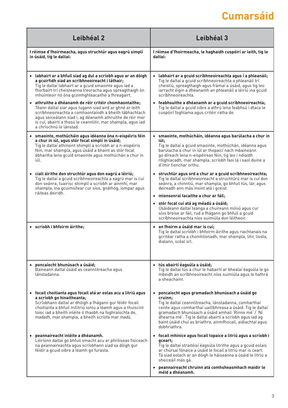# **Cumarsáid**

| Leibhéal 2                                                                                                                                                                                                                                                                                                                           | Leibhéal 3                                                                                                                                                                                                                                                                                                                                                                        |
|--------------------------------------------------------------------------------------------------------------------------------------------------------------------------------------------------------------------------------------------------------------------------------------------------------------------------------------|-----------------------------------------------------------------------------------------------------------------------------------------------------------------------------------------------------------------------------------------------------------------------------------------------------------------------------------------------------------------------------------|
| I réimse d'fhoirmeacha, agus struchtúr agus eagrú simplí<br>in úsáid, tig le daltaí:                                                                                                                                                                                                                                                 | I réimse d'fhoirmeacha, le haghaidh cuspóirí ar leith, tig le<br>daltaí:                                                                                                                                                                                                                                                                                                          |
| · labhairt ar a bhfuil siad ag dul a scríobh agus ar an dóigh<br>a gcuirfidh siad an scríbhneoireacht i láthair;<br>Tig le daltaí labhairt ar a gcuid smaointe agus iad a<br>fhorbairt trí cheisteanna treoracha agus spreagthaigh ón<br>mhúinteoir nó óna gcomhghleacaithe a fhreagairt.                                            | labhairt ar a gcuid scríbhneoireachta agus í a phleanáil;<br>Tig le daltaí a gcuid scríbhneoireachta a phleanáil trí<br>cheistiú, spreagthaigh agus frámaí a úsáid, agus tig leo<br>iarracht éigin a dhéanamh an phleanáil a léiriú ina gcuid<br>scríbhneoireachta.                                                                                                               |
| · athruithe a dhéanamh de réir critéir chomhaontaithe;<br>Téann daltaí siar agus tugann siad aird ar ghné ar leith<br>scríbhneoireachta a comhaontaíodh a bheith tábhachtach<br>agus seiceálann siad í, ag déanamh athruithe de réir mar<br>is cuí, abairtí a thosú le ceannlitir, mar shampla, agus iad<br>a chríochnú le lánstad.  | · feabhsuithe a dhéanamh ar a gcuid scríbhneoireachta;<br>Tig le daltaí a gcuid oibre a athrú lena feabhsú i dtaca le<br>cuspóirí foghlama agus critéir ratha de.                                                                                                                                                                                                                 |
| · smaointe, mothúcháin agus idéanna óna n-eispéiris féin<br>a chur in iúl, agus stór focal simplí in úsáid;<br>Tig le daltaí athinsint shimplí a scríobh ar a n-eispéiris<br>féin, mar shampla, agus úsáid a bhaint as stór focal<br>ábhartha lena gcuid smaointe agus mothúchán a chur in<br>iúl.                                   | · smaointe, mothúcháin, idéanna agus barúlacha a chur in<br>iúl;<br>Tig le daltaí a gcuid smaointe, mothúchán, idéanna agus<br>barúlacha a chur in iúl ar thopaicí nach mbaineann<br>go díreach lena n-eispéireas féin, tig leo i ndiaidh<br>rólghlacadh, mar shampla, scríobh faoi lá i saol duine a<br>d'imir tionchar orthu.                                                   |
| · ciall áirithe don struchtúr agus don eagrú a léiriú;<br>Tig le daltaí a gcuid scríbhneoireachta a eagrú mar is cuí<br>don seánra, tuairisc shimplí a scríobh ar ainmhí, mar<br>shampla, ina gcuimsítear cur síos, gnáthóg, iompar agus<br>ráiteas deiridh.                                                                         | struchtúr agus ord a chur ar a gcuid scríbhneoireachta;<br>$\bullet$<br>Tig le daltaí scríbhneoireacht a struchtúrú mar is cuí don<br>seánra, a chinntiú, mar shampla, go bhfuil tús, lár, agus<br>deireadh ann más insint atá i gceist.<br>· mionsonraí tacaithe a chur ar fáil;                                                                                                 |
|                                                                                                                                                                                                                                                                                                                                      | · stór focal cuí atá ag méadú a úsáid;<br>Úsáideann daltaí teanga a chuireann míniú agus cur<br>síos breise ar fáil, rud a fhágann go bhfuil a gcuid<br>scríbhneoireachta níos suimiúla don léitheoir.                                                                                                                                                                            |
| · scríobh i bhfoirm áirithe;                                                                                                                                                                                                                                                                                                         | $\bullet$ an fhoirm a úsáid mar is cuí;<br>Tig le daltaí scríobh i bhfoirm áirithe agus riachtanais na<br>gcritéar ratha a chomhlíonadh, mar shampla, litir, liosta,<br>dialann, scéal srl.                                                                                                                                                                                       |
| · poncaíocht bhunúsach a úsáid;<br>Baineann daltaí úsáid as ceannlitreacha agus<br>lánstadanna.                                                                                                                                                                                                                                      | · tús abairtí éagsúla a úsáid;<br>Tig le daltaí tús a chur le habairtí ar bhealaí éagsúla le go<br>mbeidh an scríbhneoireacht níos suimiúla agus le hathrá<br>a sheachaint.                                                                                                                                                                                                       |
| · focail choitianta agus focail atá ar eolas acu a litriú agus<br>a scríobh go hinaitheanta;<br>Scríobhann daltaí ar dhóigh a fhágann gur féidir focail<br>choitianta a bhfuil mílitriú iontu a léamh agus a thuiscint<br>toisc iad a bheith inléite ó thaobh na foghraíochta de,<br>madadh, mar shampla, a bheith scríofa mar madú. | poncaíocht agus gramadach bhunúsach a úsáid go<br>cruinn:<br>Tig le daltaí ceannlitreacha, lánstadanna, comharthaí<br>ceiste agus comharthaí uaillbhreasa a úsáid. Tig le daltaí<br>gramadach bhunúsach a úsáid amhail 'Rinne mé' / 'Ní<br>dhearna mé'. Tig le daltaí abairtí a scríobh agus iad ag<br>baint úsáid chuí as briathra, ainmfhocail, aidiachtaí agus<br>dobhriathra. |
| • peannaireacht inléite a dhéanamh.<br>Léiríonn daltaí go bhfuil smacht acu ar phróiseas fisiceach<br>na peannaireachta agus scríobhann siad sa dóigh gur<br>féidir a gcuid oibre a léamh go furasta.                                                                                                                                | · focail mhinice agus focail topaice a litriú agus a scríobh i<br>gceart;<br>Tig le daltaí straitéisí éagsúla litrithe agus a gcuid eolais<br>ar chúrsaí fónaice a úsáid le focail a litriú mar is ceart.<br>Tá siad eolach ar an dóigh le háiseanna a úsáid le litriú a<br>sheiceáil más gá.                                                                                     |
|                                                                                                                                                                                                                                                                                                                                      | peannaireacht chruinn atá comhsheasmhach maidir le<br>$\bullet$<br>méid a dhéanamh.                                                                                                                                                                                                                                                                                               |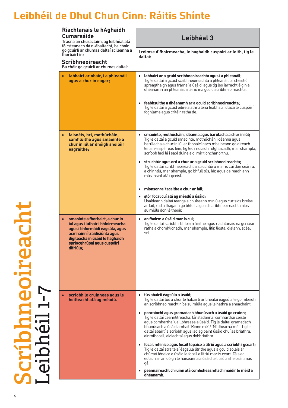| Riachtanais le hAghaidh<br><b>Cumarsáide</b><br>Trasna an churaclaim, ag leibhéal atá<br>fóirsteanach dá n-ábaltacht, ba chóir                                                                                        | Leibhéal 3                                                                                                                                                                                                                                                                                                                                                                  |
|-----------------------------------------------------------------------------------------------------------------------------------------------------------------------------------------------------------------------|-----------------------------------------------------------------------------------------------------------------------------------------------------------------------------------------------------------------------------------------------------------------------------------------------------------------------------------------------------------------------------|
| go gcuirfí ar chumas daltaí scileanna a<br>fhorbairt in:<br>Scríbhneoireacht<br>Ba chóir go gcuirfí ar chumas daltaí:                                                                                                 | I réimse d'fhoirmeacha, le haghaidh cuspóirí ar leith, tig le<br>daltaí:                                                                                                                                                                                                                                                                                                    |
| · labhairt ar obair, í a phleanáil<br>agus a chur in eagar;                                                                                                                                                           | · labhairt ar a gcuid scríbhneoireachta agus í a phleanáil;<br>Tig le daltaí a gcuid scríbhneoireachta a phleanáil trí cheistiú,<br>spreagthaigh agus frámaí a úsáid, agus tig leo iarracht éigin a<br>dhéanamh an phleanáil a léiriú ina gcuid scríbhneoireachta.                                                                                                          |
|                                                                                                                                                                                                                       | · feabhsuithe a dhéanamh ar a gcuid scríbhneoireachta;<br>Tig le daltaí a gcuid oibre a athrú lena feabhsú i dtaca le cuspóirí<br>foghlama agus critéir ratha de.                                                                                                                                                                                                           |
| faisnéis, brí, mothúcháin,<br>samhluithe agus smaointe a<br>chur in iúl ar dhóigh shoiléir<br>eagraithe;                                                                                                              | · smaointe, mothúcháin, idéanna agus barúlacha a chur in iúl;<br>Tig le daltaí a gcuid smaointe, mothúchán, idéanna agus<br>barúlacha a chur in iúl ar thopaicí nach mbaineann go díreach<br>lena n-eispéireas féin, tig leo i ndiaidh rólghlacadh, mar shampla,<br>scríobh faoi lá i saol duine a d'imir tionchar orthu.                                                   |
|                                                                                                                                                                                                                       | struchtúr agus ord a chur ar a gcuid scríbhneoireachta;<br>Tig le daltaí scríbhneoireacht a struchtúrú mar is cuí don seánra,<br>a chinntiú, mar shampla, go bhfuil tús, lár, agus deireadh ann<br>más insint atá i gceist.                                                                                                                                                 |
|                                                                                                                                                                                                                       | · mionsonraí tacaithe a chur ar fáil;<br>· stór focal cuí atá ag méadú a úsáid;<br>Úsáideann daltaí teanga a chuireann míniú agus cur síos breise<br>ar fáil, rud a fhágann go bhfuil a gcuid scríbhneoireachta níos<br>suimiúla don léitheoir.                                                                                                                             |
| smaointe a fhorbairt, a chur in<br>iúl agus i láthair i bhfoirmeacha<br>agus i bhformáidí éagsúla, agus<br>acmhainní traidisiúnta agus<br>digiteacha in úsáid le haghaidh<br>spriocghrúpaí agus cuspóirí<br>difriúla; | · an fhoirm a úsáid mar is cuí;<br>Tig le daltaí scríobh i bhfoirm áirithe agus riachtanais na gcritéar<br>ratha a chomhlíonadh, mar shampla, litir, liosta, dialann, scéal<br>srl.                                                                                                                                                                                         |
|                                                                                                                                                                                                                       |                                                                                                                                                                                                                                                                                                                                                                             |
| scríobh le cruinneas agus le<br>hoilteacht atá ag méadú.                                                                                                                                                              | · tús abairtí éagsúla a úsáid;<br>Tig le daltaí tús a chur le habairtí ar bhealaí éagsúla le go mbeidh<br>an scríbhneoireacht níos suimiúla agus le hathrá a sheachaint.                                                                                                                                                                                                    |
|                                                                                                                                                                                                                       | poncaíocht agus gramadach bhunúsach a úsáid go cruinn;<br>Tig le daltaí ceannlitreacha, lánstadanna, comharthaí ceiste<br>agus comharthaí uaillbhreasa a úsáid. Tig le daltaí gramadach<br>bhunúsach a úsáid amhail 'Rinne mé' / 'Ní dhearna mé'. Tig le<br>daltaí abairtí a scríobh agus iad ag baint úsáid chuí as briathra,<br>ainmfhocail, aidiachtaí agus dobhriathra. |
|                                                                                                                                                                                                                       | · focail mhinice agus focail topaice a litriú agus a scríobh i gceart;<br>Tig le daltaí straitéisí éagsúla litrithe agus a gcuid eolais ar<br>chúrsaí fónaice a úsáid le focail a litriú mar is ceart. Tá siad<br>eolach ar an dóigh le háiseanna a úsáid le litriú a sheiceáil más<br>gá.                                                                                  |
|                                                                                                                                                                                                                       | peannaireacht chruinn atá comhsheasmhach maidir le méid a<br>dhéanamh.                                                                                                                                                                                                                                                                                                      |

**Scríbhneoireacht** Leibhéil 1-7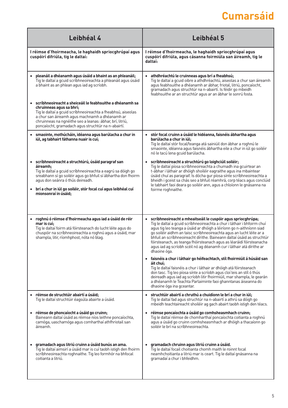# **Cumarsáid**

|             | Leibhéal 4                                                                                                                                                                                                                                                                                                                | Leibhéal 5                                                                                                                                                                                                                                                                                                                                                                                                                                                                                                                          |
|-------------|---------------------------------------------------------------------------------------------------------------------------------------------------------------------------------------------------------------------------------------------------------------------------------------------------------------------------|-------------------------------------------------------------------------------------------------------------------------------------------------------------------------------------------------------------------------------------------------------------------------------------------------------------------------------------------------------------------------------------------------------------------------------------------------------------------------------------------------------------------------------------|
|             | I réimse d'fhoirmeacha, le haghaidh spriocghrúpaí agus<br>cuspóirí difriúla, tig le daltaí:                                                                                                                                                                                                                               | I réimse d'fhoirmeacha, le haghaidh spriocghrúpaí agus<br>cuspóirí difriúla, agus cásanna foirmiúla san áireamh, tig le<br>daltaí:                                                                                                                                                                                                                                                                                                                                                                                                  |
|             | · pleanáil a dhéanamh agus úsáid a bhaint as an phleanáil;<br>Tig le daltaí a gcuid scríbhneoireachta a phleanáil agus úsáid<br>a bhaint as an phlean agus iad ag scríobh.                                                                                                                                                | · athdhréachtú le cruinneas agus brí a fheabhsú;<br>Tig le daltaí a gcuid oibre a athdhréachtú, aiseolas a chur san áireamh<br>agus feabhsuithe a dhéanamh ar ábhar, friotal, litriú, poncaíocht,<br>gramadach agus struchtúr na n-abairtí. Is féidir go mbeidh<br>feabhsuithe ar an struchtúr agus ar an ábhar le sonrú fosta.                                                                                                                                                                                                     |
|             | scríbhneoireacht a sheiceáil le feabhsuithe a dhéanamh sa<br>chruinneas agus sa bhrí;<br>Tig le daltaí a gcuid scríbhneoireachta a fheabhsú, aiseolas<br>a chur san áireamh agus machnamh a dhéanamh ar<br>chruinneas na ngnéithe seo a leanas: ábhar, brí, litriú,<br>poncaíocht, gramadach agus struchtúr na n-abairtí. |                                                                                                                                                                                                                                                                                                                                                                                                                                                                                                                                     |
|             | smaointe, mothúcháin, idéanna agus barúlacha a chur in<br>iúl, ag tabhairt fáthanna nuair is cuí;                                                                                                                                                                                                                         | · stór focal cruinn a úsáid le hidéanna, faisnéis ábhartha agus<br>barúlacha a chur in iúl;<br>Tig le daltaí stór focal/teanga atá sainiúil don ábhar a roghnú le<br>smaointe, idéanna agus faisnéis ábhartha eile a chur in iúl go soiléir<br>nó le tacú lena gcuid barúlacha.                                                                                                                                                                                                                                                     |
| áireamh:    | · scríbhneoireacht a struchtúrú, úsáid paragraf san<br>Tig le daltaí a gcuid scríbhneoireachta a eagrú sa dóigh go<br>sreabhann sí go soiléir agus go bhfuil sí ábhartha don fhoirm<br>agus don seánra ó thús deireadh.<br>brí a chur in iúl go soiléir, stór focal cuí agus leibhéal cuí<br>mionsonraí in úsáid;         | · scríbhneoireacht a struchtúrú go loighciúil soiléir;<br>Tig le daltaí píosa scríbhneoireachta a chumadh ina gcuirtear an<br>t-ábhar i láthair ar dhóigh shoiléir eagraithe agus ina mbaintear<br>úsáid chuí as paragraif. Is dócha gur píosa sínte scríbhneoireachta a<br>bheidh i gceist sa chás seo a bhfuil réamhrá, corp téacs agus conclúid<br>le tabhairt faoi deara go soiléir ann, agus a chloíonn le gnásanna na<br>foirme roghnaithe.                                                                                   |
| mar is cuí; | · roghnú ó réimse d'fhoirmeacha agus iad a úsáid de réir<br>Tig le daltaí foirm atá fóirsteanach do lucht léite agus do<br>chuspóir na scríbhneoireachta a roghnú agus a úsáid, mar<br>shampla, litir, ríomhphost, nóta nó blag.                                                                                          | · scríbhneoireacht a mheaitseáil le cuspóir agus spriocghrúpa;<br>Tig le daltaí a gcuid scríbhneoireachta a chur i láthair i bhfoirm chuí<br>agus tig leo teanga a úsáid ar dhóigh a léiríonn go n-aithníonn siad<br>go soiléir aidhm an taisc scríbhneoireachta agus an lucht léite ar a<br>bhfuil an scríbhneoireacht dírithe. Baineann daltaí úsáid as struchtúr<br>fóirsteanach, as teanga fhóirsteanach agus as léaráidí fóirsteanacha<br>agus iad ag scríobh scéil nó ag déanamh cur i láthair atá dírithe ar<br>dhaoine óga. |
|             |                                                                                                                                                                                                                                                                                                                           | · faisnéis a chur i láthair go héifeachtach, stíl fhoirmiúil á húsáid san<br>áit chuí;<br>Tig le daltaí faisnéis a chur i láthair ar dhóigh atá fóirsteanach<br>don tasc. Tig leo píosa sínte a scríobh agus cloí leis an stíl ó thús<br>deireadh agus iad ag scríobh litir fhoirmiúil, mar shampla, le gearán<br>a dhéanamh le Teachta Parlaiminte faoi ghanntanas áiseanna do<br>dhaoine óga ina gceantar.                                                                                                                        |
|             | · réimse de struchtúir abairtí a úsáid;<br>Tig le daltaí struchtúir éagsúla abairte a úsáid.                                                                                                                                                                                                                              | · struchtúir abairtí a chruthú a chuidíonn le brí a chur in iúl;<br>Tig le daltaí fad agus struchtúr na n-abairtí a athrú sa dóigh go<br>mbeidh teachtaireacht shoiléir ag gach abairt taobh istigh den téacs.                                                                                                                                                                                                                                                                                                                      |
| áireamh.    | · réimse de phoncaíocht a úsáid go cruinn;<br>Baineann daltaí úsáid as réimse níos leithne poncaíochta,<br>camóga, uaschamóga agus comharthaí athfhriotail san                                                                                                                                                            | · réimse poncaíochta a úsáid go comhsheasmhach cruinn;<br>Tig le daltaí réimse de chomharthaí poncaíochta coitianta a roghnú<br>agus a úsáid go cruinn comhsheasmhach ar dhóigh a thacaíonn go<br>soiléir le brí na scríbhneoireachta.                                                                                                                                                                                                                                                                                              |
|             | gramadach agus litriú cruinn a úsáid bunús an ama.<br>Tig le daltaí aimsirí a úsáid mar is cuí taobh istigh den fhoirm<br>scríbhneoireachta roghnaithe. Tig leo formhór na bhfocal<br>coitianta a litriú.                                                                                                                 | · gramadach chruinn agus litriú cruinn a úsáid.<br>Tig le daltaí focail choitianta chomh maith le roinnt focal<br>neamhchoitianta a litriú mar is ceart. Tig le daltaí gnásanna na<br>gramadaí a chur i bhfeidhm.                                                                                                                                                                                                                                                                                                                   |
|             |                                                                                                                                                                                                                                                                                                                           |                                                                                                                                                                                                                                                                                                                                                                                                                                                                                                                                     |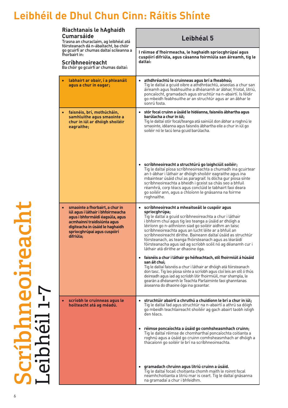| Riachtanais le hAghaidh<br><b>Cumarsáide</b><br>Trasna an churaclaim, ag leibhéal atá                                                                                                                                 | Leibhéal 5                                                                                                                                                                                                                                                                                                                                                                                                                                                                                                                                                                                                                          |
|-----------------------------------------------------------------------------------------------------------------------------------------------------------------------------------------------------------------------|-------------------------------------------------------------------------------------------------------------------------------------------------------------------------------------------------------------------------------------------------------------------------------------------------------------------------------------------------------------------------------------------------------------------------------------------------------------------------------------------------------------------------------------------------------------------------------------------------------------------------------------|
| fóirsteanach dá n-ábaltacht, ba chóir<br>go gcuirfí ar chumas daltaí scileanna a<br>fhorbairt in:<br>Scríbhneoireacht<br>Ba chóir go gcuirfí ar chumas daltaí:                                                        | I réimse d'fhoirmeacha, le haghaidh spriocghrúpaí agus<br>cuspóirí difriúla, agus cásanna foirmiúla san áireamh, tig le<br>daltaí:                                                                                                                                                                                                                                                                                                                                                                                                                                                                                                  |
| · labhairt ar obair, í a phleanáil<br>agus a chur in eagar;                                                                                                                                                           | · athdhréachtú le cruinneas agus brí a fheabhsú;<br>Tig le daltaí a gcuid oibre a athdhréachtú, aiseolas a chur san<br>áireamh agus feabhsuithe a dhéanamh ar ábhar, friotal, litriú,<br>poncaíocht, gramadach agus struchtúr na n-abairtí. Is féidir<br>go mbeidh feabhsuithe ar an struchtúr agus ar an ábhar le<br>sonrú fosta.                                                                                                                                                                                                                                                                                                  |
| faisnéis, brí, mothúcháin,<br>samhluithe agus smaointe a<br>chur in iúl ar dhóigh shoiléir<br>eagraithe;                                                                                                              | · stór focal cruinn a úsáid le hidéanna, faisnéis ábhartha agus<br>barúlacha a chur in iúl;<br>Tig le daltaí stór focal/teanga atá sainiúil don ábhar a roghnú le<br>smaointe, idéanna agus faisnéis ábhartha eile a chur in iúl go<br>soiléir nó le tacú lena gcuid barúlacha.                                                                                                                                                                                                                                                                                                                                                     |
|                                                                                                                                                                                                                       | · scríbhneoireacht a struchtúrú go loighciúil soiléir;<br>Tig le daltaí píosa scríbhneoireachta a chumadh ina gcuirtear<br>an t-ábhar i láthair ar dhóigh shoiléir eagraithe agus ina<br>mbaintear úsáid chuí as paragraif. Is dócha gur píosa sínte<br>scríbhneoireachta a bheidh i gceist sa chás seo a bhfuil<br>réamhrá, corp téacs agus conclúid le tabhairt faoi deara<br>go soiléir ann, agus a chloíonn le gnásanna na foirme<br>roghnaithe.                                                                                                                                                                                |
| smaointe a fhorbairt, a chur in<br>iúl agus i láthair i bhfoirmeacha<br>agus i bhformáidí éagsúla, agus<br>acmhainní traidisiúnta agus<br>digiteacha in úsáid le haghaidh<br>spriocghrúpaí agus cuspóirí<br>difriúla; | · scríbhneoireacht a mheaitseáil le cuspóir agus<br>spriocghrúpa;<br>Tig le daltaí a gcuid scríbhneoireachta a chur i láthair<br>i bhfoirm chuí agus tig leo teanga a úsáid ar dhóigh a<br>léiríonn go n-aithníonn siad go soiléir aidhm an taisc<br>scríbhneoireachta agus an lucht léite ar a bhfuil an<br>scríbhneoireacht dírithe. Baineann daltaí úsáid as struchtúr<br>fóirsteanach, as teanga fhóirsteanach agus as léaráidí<br>fóirsteanacha agus iad ag scríobh scéil nó ag déanamh cur i<br>láthair atá dírithe ar dhaoine óga.<br>· faisnéis a chur i láthair go héifeachtach, stíl fhoirmiúil á húsáid<br>san áit chuí; |
|                                                                                                                                                                                                                       | Tig le daltaí faisnéis a chur i láthair ar dhóigh atá fóirsteanach<br>don tasc. Tig leo píosa sínte a scríobh agus cloí leis an stíl ó thús<br>deireadh agus iad ag scríobh litir fhoirmiúil, mar shampla, le<br>gearán a dhéanamh le Teachta Parlaiminte faoi ghanntanas<br>áiseanna do dhaoine óga ina gceantar.                                                                                                                                                                                                                                                                                                                  |
| · scríobh le cruinneas agus le<br>hoilteacht atá ag méadú.                                                                                                                                                            | · struchtúir abairtí a chruthú a chuidíonn le brí a chur in iúl;<br>Tig le daltaí fad agus struchtúr na n-abairtí a athrú sa dóigh<br>go mbeidh teachtaireacht shoiléir ag gach abairt taobh istigh<br>den téacs.                                                                                                                                                                                                                                                                                                                                                                                                                   |
|                                                                                                                                                                                                                       | · réimse poncaíochta a úsáid go comhsheasmhach cruinn;<br>Tiq le daltaí réimse de chomharthaí poncaíochta coitianta a<br>roghnú agus a úsáid go cruinn comhsheasmhach ar dhóigh a<br>thacaíonn go soiléir le brí na scríbhneoireachta.                                                                                                                                                                                                                                                                                                                                                                                              |
|                                                                                                                                                                                                                       | · gramadach chruinn agus litriú cruinn a úsáid.<br>Tig le daltaí focail choitianta chomh maith le roinnt focal<br>neamhchoitianta a litriú mar is ceart. Tig le daltaí gnásanna<br>na gramadaí a chur i bhfeidhm.                                                                                                                                                                                                                                                                                                                                                                                                                   |

**Scríbhneoireacht** Leibhéil 1-7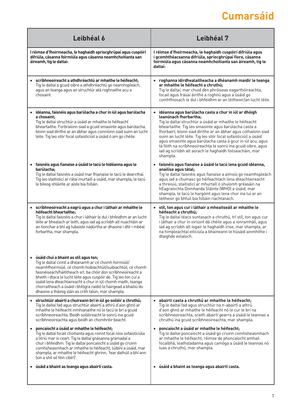# **Cumarsáid**

| Leibhéal 6                                                                                                                                                                                                                                                                                                                                                                                                                                                                                        | Leibhéal 7                                                                                                                                                                                                                                                                                                                                                                                                                                                                                                                                |
|---------------------------------------------------------------------------------------------------------------------------------------------------------------------------------------------------------------------------------------------------------------------------------------------------------------------------------------------------------------------------------------------------------------------------------------------------------------------------------------------------|-------------------------------------------------------------------------------------------------------------------------------------------------------------------------------------------------------------------------------------------------------------------------------------------------------------------------------------------------------------------------------------------------------------------------------------------------------------------------------------------------------------------------------------------|
| I réimse d'fhoirmeacha, le haghaidh spriocghrúpaí agus cuspóirí<br>difriúla, cásanna foirmiúla agus cásanna neamhchoitianta san<br>áireamh, tig le daltaí:                                                                                                                                                                                                                                                                                                                                        | I réimse d'fhoirmeacha, le haghaidh cuspóirí difriúla agus<br>i gcomhthéacsanna difriúla, spriocghrúpaí fíora, cásanna<br>foirmiúla agus cásanna neamhchoitianta san áireamh, tig le<br>daltaí:                                                                                                                                                                                                                                                                                                                                           |
| · scríbhneoireacht a athdhréachtú ar mhaithe le héifeacht;<br>Tig le daltaí a gcuid oibre a athdhréachtú go neamhspleách,<br>agus an teanga agus an struchtúr atá roghnaithe acu a<br>chosaint.                                                                                                                                                                                                                                                                                                   | · roghanna idirdhealaitheacha a dhéanamh maidir le teanga<br>ar mhaithe le héifeacht a chruthú;<br>Tig le daltaí, mar chuid den phróiseas eagarthóireachta,<br>focail agus frásaí áirithe a roghnú agus a úsáid go<br>comhfhiosach le dul i bhfeidhm ar an léitheoir/an lucht léite.                                                                                                                                                                                                                                                      |
| · idéanna, faisnéis agus barúlacha a chur in iúl agus barúlacha<br>a chosaint:<br>Tig le daltaí struchtúr a úsáid ar mhaithe le héifeacht<br>bheartaithe. Forbraíonn siad a gcuid smaointe agus barúlacha,<br>bíonn siad dírithe ar an ábhar agus coinníonn siad suim an lucht<br>léite. Tig leo stór focal sofaisticiúil a úsáid ó am go chéile.                                                                                                                                                 | · idéanna agus barúlacha casta a chur in iúl ar dhóigh<br>leanúnach fhorbartha;<br>Tig le daltaí struchtúr a úsáid ar mhaithe le héifeacht<br>bheartaithe. Tig leo smaointe agus barúlacha casta a<br>fhorbairt, bíonn siad dírithe ar an ábhar agus cothaíonn siad<br>suim an lucht léite. Tig leo stór focal sofaisticiúil a úsáid<br>agus smaointe agus barúlacha casta á gcur in iúl acu, agus<br>tá féith na scríbhneoireachta le sonrú ina gcuid oibre, agus<br>iad ag scríobh alt aorach le haghaidh foilseacháin, mar<br>shampla. |
| · faisnéis agus fianaise a úsáid le tacú le hidéanna agus le<br>barúlacha:<br>Tig le daltaí faisnéis a úsáid mar fhianaise le tacú le dearcthaí.<br>Tig leo staitisticí ar rátaí murtaill a úsáid, mar shampla, le tacú<br>le bileog shláinte ar aiste bia folláin.                                                                                                                                                                                                                               | · faisnéis agus fianaise a úsáid le tacú lena gcuid idéanna,<br>anailíse agus tátal;<br>Tig le daltaí faisnéis agus fianaise a aimsiú go neamhspleách<br>agus iad a chumasc go héifeachtach lena dteachtaireacht<br>a threisiú, staitisticí ar mhurtall ó shuíomh gréasáin na<br>hEagraíochta Domhanda Sláinte (WHO) a úsáid, mar<br>shampla, le tacú le hargóint agus lena chur ina luí ar an<br>léitheoir go bhfuil bia folláin riachtanach.                                                                                            |
| · scríbhneoireacht a eagrú agus a chur i láthair ar mhaithe le<br>héifeacht bheartaithe:<br>Tig le daltaí faisnéis a chur i láthair le dul i bhfeidhm ar an lucht<br>léite ar bhealach ar leith, agus iad ag scríobh alt nuachtáin ar<br>an tionchar a bhí ag tubaiste nádúrtha ar dhaoine i dtír i mbéal<br>forbartha, mar shampla.                                                                                                                                                              | · stíl, ton agus cur i láthair a mheaitseáil ar mhaithe le<br>héifeacht a chruthú:<br>Tig le daltaí téacs suntasach a chruthú, trí stíl, ton agus cur<br>i láthair a chur in oiriúint dá chéile agus a ionramháil, agus<br>iad ag scríobh alt íogair le haghaidh irise, mar shampla, ar<br>na himpleachtaí eiticiúla a bhaineann le húsáid ainmhithe i<br>dtaighde eolaíoch.                                                                                                                                                              |
| · úsáid chuí a bhaint as stíl agus ton;<br>Tig le daltaí cinntí a dhéanamh ar cé chomh foirmiúil/<br>neamhfhoirmiúil, cé chomh hoibiachtúil/suibiachtúil, cé chomh<br>faisnéiseach/háititheach srl. ba chóir don scríbhneoireacht a<br>bheith i dtaca le lucht léite agus cuspóir de. Tig leo ton cuí a<br>úsáid lena dteachtaireacht a chur in iúl chomh maith, teanga<br>chorraitheach a úsáid i bhfógra raidió le hairgead a bhailiú do<br>dhaoine a tháinig slán as crith talún, mar shampla. |                                                                                                                                                                                                                                                                                                                                                                                                                                                                                                                                           |
| · struchtúir abairtí a chuireann brí in iúl go soiléir a chruthú;<br>Tig le daltaí fad agus struchtúr abairtí a athrú d'aon ghnó ar<br>mhaithe le héifeacht inmhianaithe nó le tacú le brí a gcuid<br>scríbhneoireachta. Beidh soiléireacht le sonrú ina gcuid<br>scríbhneoireachta agus beidh an chomhréir beacht.                                                                                                                                                                               | · abairtí casta a chruthú ar mhaithe le héifeacht;<br>Tig le daltaí fad agus struchtúr na n-abairtí a athrú<br>d'aon ghnó ar mhaithe le héifeacht nó le cur le brí na<br>scríbhneoireachta, sraith abairtí gearra a úsáid le teannas a<br>chruthú ina gcuid scríbhneoireachta, mar shampla.                                                                                                                                                                                                                                               |
| · poncaíocht a úsáid ar mhaithe le héifeacht;<br>Tig le daltaí focail choitianta agus roinnt focal níos sofaisticiúla<br>a litriú mar is ceart. Tig le daltaí gnásanna gramadaí a<br>chur i bhfeidhm. Tig le daltaí poncaíocht a úsáid go cruinn<br>comhsheasmhach ar mhaithe le héifeacht, lúibíní a úsáid, mar<br>shampla, ar mhaithe le héifeacht ghrinn, 'fear dathúil a bhí ann<br>(sin a shíl sé féin cibé!)'.                                                                              | · poncaíocht a úsáid ar mhaithe le héifeacht;<br>Tig le daltaí poncaíocht a úsáid go cruinn comhsheasmhach<br>ar mhaithe le héifeacht, réimse de phoncaíocht amhail<br>focalbhá, leathstadanna agus camóga a úsáid le teannas nó<br>luas a chruthú, mar shampla.                                                                                                                                                                                                                                                                          |
| · úsáid a bhaint as teanga agus abairtí casta.                                                                                                                                                                                                                                                                                                                                                                                                                                                    | · úsáid a bhaint as teanga agus abairtí casta.                                                                                                                                                                                                                                                                                                                                                                                                                                                                                            |
|                                                                                                                                                                                                                                                                                                                                                                                                                                                                                                   |                                                                                                                                                                                                                                                                                                                                                                                                                                                                                                                                           |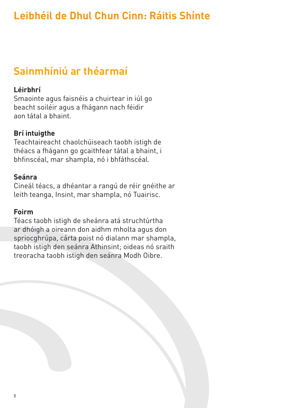#### **Sainmhíniú ar théarmaí**

#### **Léirbhrí**

Smaointe agus faisnéis a chuirtear in iúl go beacht soiléir agus a fhágann nach féidir aon tátal a bhaint.

#### **Brí intuigthe**

Teachtaireacht chaolchúiseach taobh istigh de théacs a fhágann go gcaithfear tátal a bhaint, i bhfinscéal, mar shampla, nó i bhfáthscéal.

#### **Seánra**

Cineál téacs, a dhéantar a rangú de réir gnéithe ar leith teanga, Insint, mar shampla, nó Tuairisc.

#### **Foirm**

Téacs taobh istigh de sheánra atá struchtúrtha ar dhóigh a oireann don aidhm mholta agus don spriocghrúpa, cárta poist nó dialann mar shampla, taobh istigh den seánra Athinsint; oideas nó sraith treoracha taobh istigh den seánra Modh Oibre.